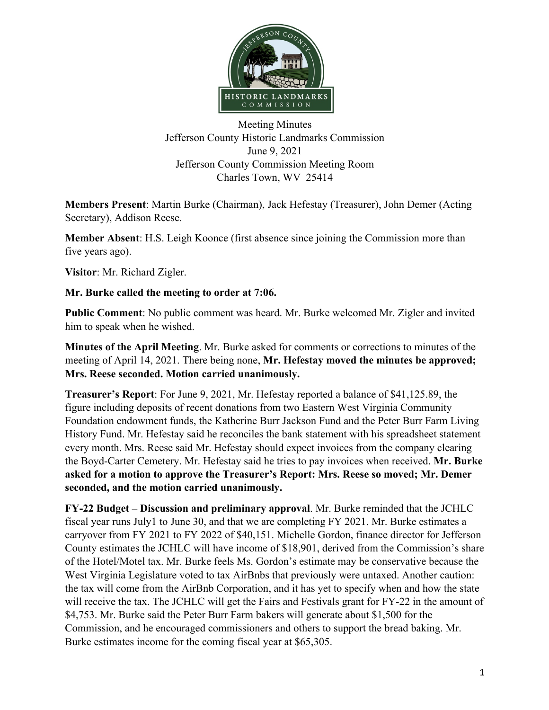

Meeting Minutes Jefferson County Historic Landmarks Commission June 9, 2021 Jefferson County Commission Meeting Room Charles Town, WV 25414

**Members Present**: Martin Burke (Chairman), Jack Hefestay (Treasurer), John Demer (Acting Secretary), Addison Reese.

**Member Absent**: H.S. Leigh Koonce (first absence since joining the Commission more than five years ago).

**Visitor**: Mr. Richard Zigler.

# **Mr. Burke called the meeting to order at 7:06.**

**Public Comment**: No public comment was heard. Mr. Burke welcomed Mr. Zigler and invited him to speak when he wished.

**Minutes of the April Meeting**. Mr. Burke asked for comments or corrections to minutes of the meeting of April 14, 2021. There being none, **Mr. Hefestay moved the minutes be approved; Mrs. Reese seconded. Motion carried unanimously.**

**Treasurer's Report**: For June 9, 2021, Mr. Hefestay reported a balance of \$41,125.89, the figure including deposits of recent donations from two Eastern West Virginia Community Foundation endowment funds, the Katherine Burr Jackson Fund and the Peter Burr Farm Living History Fund. Mr. Hefestay said he reconciles the bank statement with his spreadsheet statement every month. Mrs. Reese said Mr. Hefestay should expect invoices from the company clearing the Boyd-Carter Cemetery. Mr. Hefestay said he tries to pay invoices when received. **Mr. Burke asked for a motion to approve the Treasurer's Report: Mrs. Reese so moved; Mr. Demer seconded, and the motion carried unanimously.** 

**FY-22 Budget – Discussion and preliminary approval**. Mr. Burke reminded that the JCHLC fiscal year runs July1 to June 30, and that we are completing FY 2021. Mr. Burke estimates a carryover from FY 2021 to FY 2022 of \$40,151. Michelle Gordon, finance director for Jefferson County estimates the JCHLC will have income of \$18,901, derived from the Commission's share of the Hotel/Motel tax. Mr. Burke feels Ms. Gordon's estimate may be conservative because the West Virginia Legislature voted to tax AirBnbs that previously were untaxed. Another caution: the tax will come from the AirBnb Corporation, and it has yet to specify when and how the state will receive the tax. The JCHLC will get the Fairs and Festivals grant for FY-22 in the amount of \$4,753. Mr. Burke said the Peter Burr Farm bakers will generate about \$1,500 for the Commission, and he encouraged commissioners and others to support the bread baking. Mr. Burke estimates income for the coming fiscal year at \$65,305.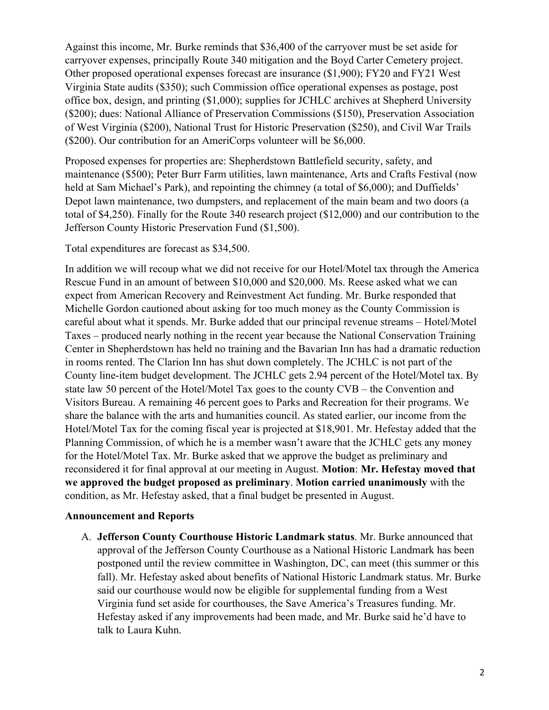Against this income, Mr. Burke reminds that \$36,400 of the carryover must be set aside for carryover expenses, principally Route 340 mitigation and the Boyd Carter Cemetery project. Other proposed operational expenses forecast are insurance (\$1,900); FY20 and FY21 West Virginia State audits (\$350); such Commission office operational expenses as postage, post office box, design, and printing (\$1,000); supplies for JCHLC archives at Shepherd University (\$200); dues: National Alliance of Preservation Commissions (\$150), Preservation Association of West Virginia (\$200), National Trust for Historic Preservation (\$250), and Civil War Trails (\$200). Our contribution for an AmeriCorps volunteer will be \$6,000.

Proposed expenses for properties are: Shepherdstown Battlefield security, safety, and maintenance (\$500); Peter Burr Farm utilities, lawn maintenance, Arts and Crafts Festival (now held at Sam Michael's Park), and repointing the chimney (a total of \$6,000); and Duffields' Depot lawn maintenance, two dumpsters, and replacement of the main beam and two doors (a total of \$4,250). Finally for the Route 340 research project (\$12,000) and our contribution to the Jefferson County Historic Preservation Fund (\$1,500).

Total expenditures are forecast as \$34,500.

In addition we will recoup what we did not receive for our Hotel/Motel tax through the America Rescue Fund in an amount of between \$10,000 and \$20,000. Ms. Reese asked what we can expect from American Recovery and Reinvestment Act funding. Mr. Burke responded that Michelle Gordon cautioned about asking for too much money as the County Commission is careful about what it spends. Mr. Burke added that our principal revenue streams – Hotel/Motel Taxes – produced nearly nothing in the recent year because the National Conservation Training Center in Shepherdstown has held no training and the Bavarian Inn has had a dramatic reduction in rooms rented. The Clarion Inn has shut down completely. The JCHLC is not part of the County line-item budget development. The JCHLC gets 2.94 percent of the Hotel/Motel tax. By state law 50 percent of the Hotel/Motel Tax goes to the county CVB – the Convention and Visitors Bureau. A remaining 46 percent goes to Parks and Recreation for their programs. We share the balance with the arts and humanities council. As stated earlier, our income from the Hotel/Motel Tax for the coming fiscal year is projected at \$18,901. Mr. Hefestay added that the Planning Commission, of which he is a member wasn't aware that the JCHLC gets any money for the Hotel/Motel Tax. Mr. Burke asked that we approve the budget as preliminary and reconsidered it for final approval at our meeting in August. **Motion**: **Mr. Hefestay moved that we approved the budget proposed as preliminary**. **Motion carried unanimously** with the condition, as Mr. Hefestay asked, that a final budget be presented in August.

#### **Announcement and Reports**

A. **Jefferson County Courthouse Historic Landmark status**. Mr. Burke announced that approval of the Jefferson County Courthouse as a National Historic Landmark has been postponed until the review committee in Washington, DC, can meet (this summer or this fall). Mr. Hefestay asked about benefits of National Historic Landmark status. Mr. Burke said our courthouse would now be eligible for supplemental funding from a West Virginia fund set aside for courthouses, the Save America's Treasures funding. Mr. Hefestay asked if any improvements had been made, and Mr. Burke said he'd have to talk to Laura Kuhn.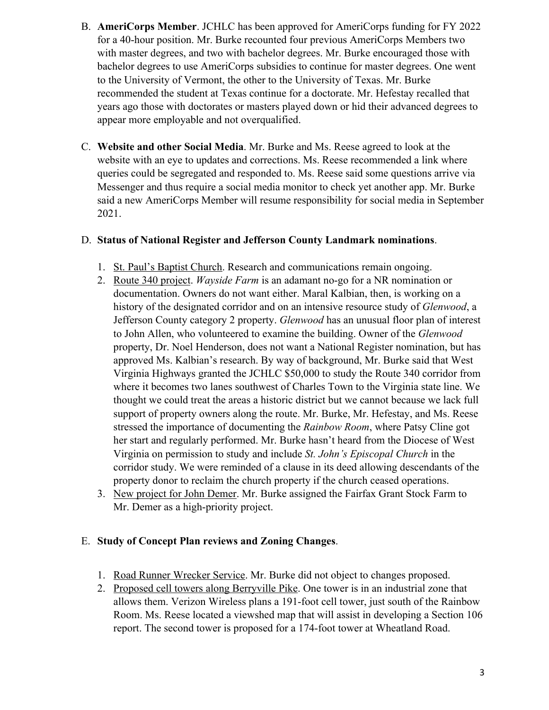- B. **AmeriCorps Member**. JCHLC has been approved for AmeriCorps funding for FY 2022 for a 40-hour position. Mr. Burke recounted four previous AmeriCorps Members two with master degrees, and two with bachelor degrees. Mr. Burke encouraged those with bachelor degrees to use AmeriCorps subsidies to continue for master degrees. One went to the University of Vermont, the other to the University of Texas. Mr. Burke recommended the student at Texas continue for a doctorate. Mr. Hefestay recalled that years ago those with doctorates or masters played down or hid their advanced degrees to appear more employable and not overqualified.
- C. **Website and other Social Media**. Mr. Burke and Ms. Reese agreed to look at the website with an eye to updates and corrections. Ms. Reese recommended a link where queries could be segregated and responded to. Ms. Reese said some questions arrive via Messenger and thus require a social media monitor to check yet another app. Mr. Burke said a new AmeriCorps Member will resume responsibility for social media in September 2021.

### D. **Status of National Register and Jefferson County Landmark nominations**.

- 1. St. Paul's Baptist Church. Research and communications remain ongoing.
- 2. Route 340 project. *Wayside Farm* is an adamant no-go for a NR nomination or documentation. Owners do not want either. Maral Kalbian, then, is working on a history of the designated corridor and on an intensive resource study of *Glenwood*, a Jefferson County category 2 property. *Glenwood* has an unusual floor plan of interest to John Allen, who volunteered to examine the building. Owner of the *Glenwood* property, Dr. Noel Henderson, does not want a National Register nomination, but has approved Ms. Kalbian's research. By way of background, Mr. Burke said that West Virginia Highways granted the JCHLC \$50,000 to study the Route 340 corridor from where it becomes two lanes southwest of Charles Town to the Virginia state line. We thought we could treat the areas a historic district but we cannot because we lack full support of property owners along the route. Mr. Burke, Mr. Hefestay, and Ms. Reese stressed the importance of documenting the *Rainbow Room*, where Patsy Cline got her start and regularly performed. Mr. Burke hasn't heard from the Diocese of West Virginia on permission to study and include *St. John's Episcopal Church* in the corridor study. We were reminded of a clause in its deed allowing descendants of the property donor to reclaim the church property if the church ceased operations.
- 3. New project for John Demer. Mr. Burke assigned the Fairfax Grant Stock Farm to Mr. Demer as a high-priority project.

### E. **Study of Concept Plan reviews and Zoning Changes**.

- 1. Road Runner Wrecker Service. Mr. Burke did not object to changes proposed.
- 2. Proposed cell towers along Berryville Pike. One tower is in an industrial zone that allows them. Verizon Wireless plans a 191-foot cell tower, just south of the Rainbow Room. Ms. Reese located a viewshed map that will assist in developing a Section 106 report. The second tower is proposed for a 174-foot tower at Wheatland Road.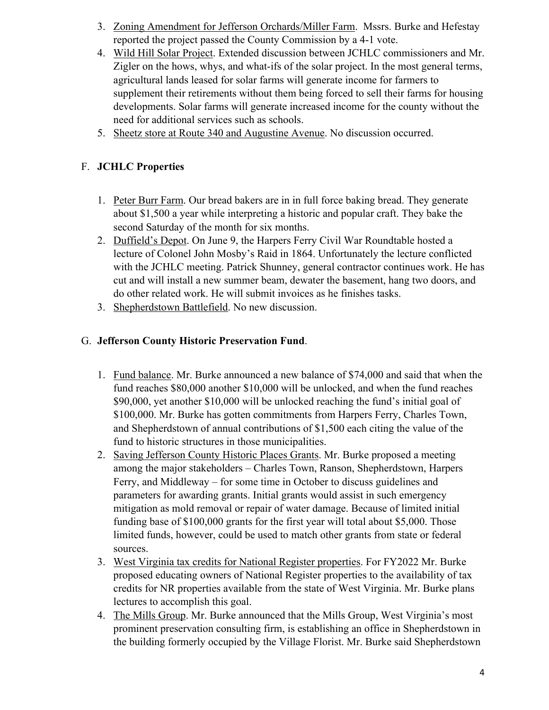- 3. Zoning Amendment for Jefferson Orchards/Miller Farm. Mssrs. Burke and Hefestay reported the project passed the County Commission by a 4-1 vote.
- 4. Wild Hill Solar Project. Extended discussion between JCHLC commissioners and Mr. Zigler on the hows, whys, and what-ifs of the solar project. In the most general terms, agricultural lands leased for solar farms will generate income for farmers to supplement their retirements without them being forced to sell their farms for housing developments. Solar farms will generate increased income for the county without the need for additional services such as schools.
- 5. Sheetz store at Route 340 and Augustine Avenue. No discussion occurred.

# F. **JCHLC Properties**

- 1. Peter Burr Farm. Our bread bakers are in in full force baking bread. They generate about \$1,500 a year while interpreting a historic and popular craft. They bake the second Saturday of the month for six months.
- 2. Duffield's Depot. On June 9, the Harpers Ferry Civil War Roundtable hosted a lecture of Colonel John Mosby's Raid in 1864. Unfortunately the lecture conflicted with the JCHLC meeting. Patrick Shunney, general contractor continues work. He has cut and will install a new summer beam, dewater the basement, hang two doors, and do other related work. He will submit invoices as he finishes tasks.
- 3. Shepherdstown Battlefield. No new discussion.

# G. **Jefferson County Historic Preservation Fund**.

- 1. Fund balance. Mr. Burke announced a new balance of \$74,000 and said that when the fund reaches \$80,000 another \$10,000 will be unlocked, and when the fund reaches \$90,000, yet another \$10,000 will be unlocked reaching the fund's initial goal of \$100,000. Mr. Burke has gotten commitments from Harpers Ferry, Charles Town, and Shepherdstown of annual contributions of \$1,500 each citing the value of the fund to historic structures in those municipalities.
- 2. Saving Jefferson County Historic Places Grants. Mr. Burke proposed a meeting among the major stakeholders – Charles Town, Ranson, Shepherdstown, Harpers Ferry, and Middleway – for some time in October to discuss guidelines and parameters for awarding grants. Initial grants would assist in such emergency mitigation as mold removal or repair of water damage. Because of limited initial funding base of \$100,000 grants for the first year will total about \$5,000. Those limited funds, however, could be used to match other grants from state or federal sources.
- 3. West Virginia tax credits for National Register properties. For FY2022 Mr. Burke proposed educating owners of National Register properties to the availability of tax credits for NR properties available from the state of West Virginia. Mr. Burke plans lectures to accomplish this goal.
- 4. The Mills Group. Mr. Burke announced that the Mills Group, West Virginia's most prominent preservation consulting firm, is establishing an office in Shepherdstown in the building formerly occupied by the Village Florist. Mr. Burke said Shepherdstown